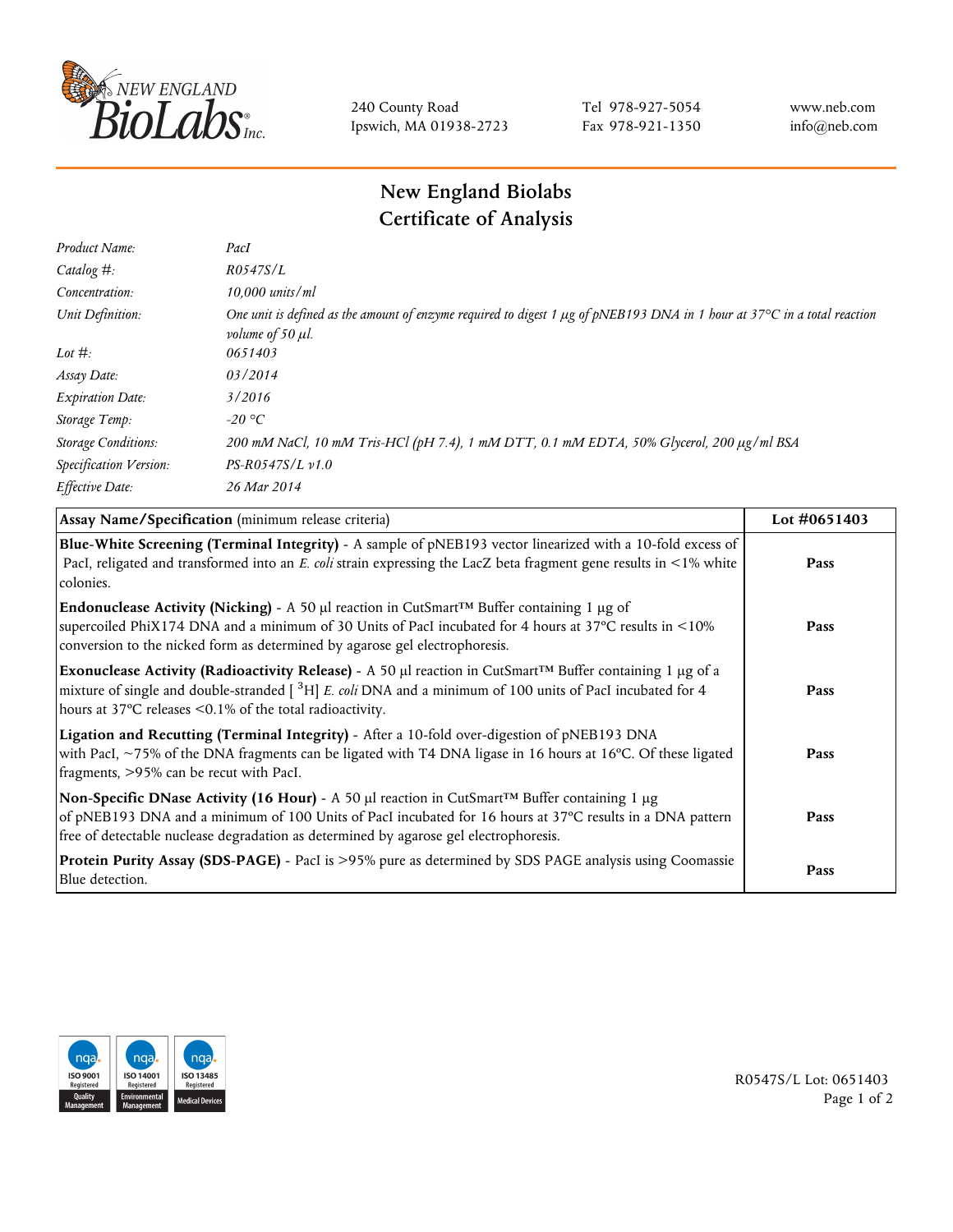

240 County Road Ipswich, MA 01938-2723 Tel 978-927-5054 Fax 978-921-1350 www.neb.com info@neb.com

## **New England Biolabs Certificate of Analysis**

| Product Name:              | PacI                                                                                                                                                               |
|----------------------------|--------------------------------------------------------------------------------------------------------------------------------------------------------------------|
| Catalog $#$ :              | R0547S/L                                                                                                                                                           |
| Concentration:             | $10,000$ units/ml                                                                                                                                                  |
| Unit Definition:           | One unit is defined as the amount of enzyme required to digest 1 µg of pNEB193 DNA in 1 hour at 37°C in a total reaction<br><i>volume of 50 <math>\mu</math>l.</i> |
| Lot $\#$ :                 | 0651403                                                                                                                                                            |
| Assay Date:                | 03/2014                                                                                                                                                            |
| <b>Expiration Date:</b>    | 3/2016                                                                                                                                                             |
| Storage Temp:              | $-20$ °C                                                                                                                                                           |
| <b>Storage Conditions:</b> | 200 mM NaCl, 10 mM Tris-HCl (pH 7.4), 1 mM DTT, 0.1 mM EDTA, 50% Glycerol, 200 µg/ml BSA                                                                           |
| Specification Version:     | $PS-R0547S/L \nu 1.0$                                                                                                                                              |
| Effective Date:            | 26 Mar 2014                                                                                                                                                        |

| Assay Name/Specification (minimum release criteria)                                                                                                                                                                                                                                                             | Lot #0651403 |
|-----------------------------------------------------------------------------------------------------------------------------------------------------------------------------------------------------------------------------------------------------------------------------------------------------------------|--------------|
| Blue-White Screening (Terminal Integrity) - A sample of pNEB193 vector linearized with a 10-fold excess of<br>PacI, religated and transformed into an E. coli strain expressing the LacZ beta fragment gene results in <1% white<br>colonies.                                                                   | Pass         |
| <b>Endonuclease Activity (Nicking)</b> - A 50 µl reaction in CutSmart <sup>TM</sup> Buffer containing 1 µg of<br>supercoiled PhiX174 DNA and a minimum of 30 Units of PacI incubated for 4 hours at 37°C results in <10%<br>conversion to the nicked form as determined by agarose gel electrophoresis.         | Pass         |
| Exonuclease Activity (Radioactivity Release) - A 50 µl reaction in CutSmart™ Buffer containing 1 µg of a<br>mixture of single and double-stranded [ <sup>3</sup> H] E. coli DNA and a minimum of 100 units of PacI incubated for 4<br>hours at 37°C releases <0.1% of the total radioactivity.                  | Pass         |
| Ligation and Recutting (Terminal Integrity) - After a 10-fold over-digestion of pNEB193 DNA<br>with PacI, ~75% of the DNA fragments can be ligated with T4 DNA ligase in 16 hours at 16°C. Of these ligated<br>fragments, >95% can be recut with PacI.                                                          | Pass         |
| Non-Specific DNase Activity (16 Hour) - A 50 µl reaction in CutSmart <sup>TM</sup> Buffer containing 1 µg<br>of pNEB193 DNA and a minimum of 100 Units of PacI incubated for 16 hours at 37°C results in a DNA pattern<br>free of detectable nuclease degradation as determined by agarose gel electrophoresis. | Pass         |
| Protein Purity Assay (SDS-PAGE) - PacI is >95% pure as determined by SDS PAGE analysis using Coomassie<br>Blue detection.                                                                                                                                                                                       | Pass         |



R0547S/L Lot: 0651403 Page 1 of 2